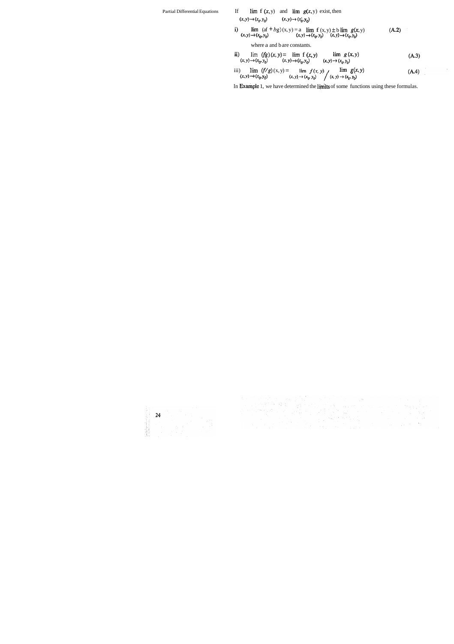### Partial Differential Equations If  $\lim_{x \to a} f(x, y)$  and  $\lim_{x \to a} g(x, y)$  exist, then  $(x,y) \rightarrow (x_0,y_0) \hspace{3cm} (x,y) \rightarrow (x_0^*,y_0) \label{eq:1}$

i)  $\lim_{(x,y)\to (0,1)}$  (af  $+ bg)(x, y) = a \lim_{(x,y)\to (0,1)} f(x, y) \pm b \lim_{(x,y)\to (0,1)} g(x, y)$  $(A.2)$  $(x, y) \rightarrow (x_0, y_0)$   $(x, y) \rightarrow (x_0, y_0)$   $(x, y) \rightarrow (x_0, y_0)$ 

where a and b are constants.

ii) 
$$
\lim_{(x, y) \to (x_0, y_0)} (fg)(x, y) = \lim_{(x, y) \to (x_0, y_0)} f(x, y) \qquad \lim_{(x, y) \to (x_0, y_0)} g(x, y)
$$
 (A.3)

iii) 
$$
\lim_{(x, y) \to (x_0, y_0]} (f/g)(x, y) = \lim_{(x, y) \to (x_0, y_0]} f(x, y) \qquad \lim_{(x, y) \to (x_0, y_0]} g(x, y)
$$
 (A.4)

 $\sim 10^7$ 

 $\hat{\boldsymbol{\beta}}$ 

In Example 1, we have determined the limits of some functions using these formulas.

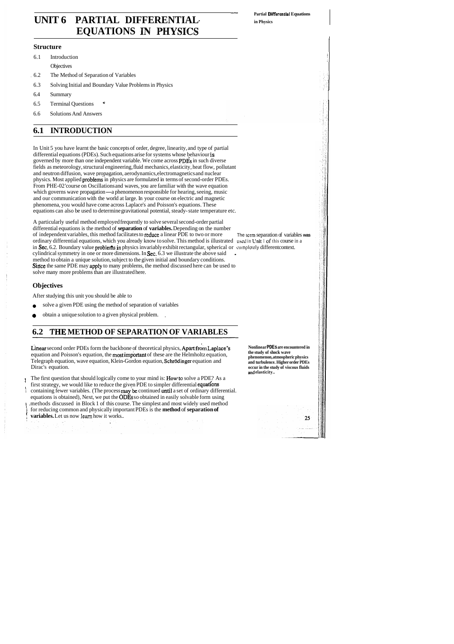- **Partial Differential Equations** 

# UNIT 6 PARTIAL DIFFERENTIAL- in Physics **EQUATIONS**

# **Structure Intervention of the structure**  $\vert$

- $\begin{bmatrix} 6.1 \end{bmatrix}$  Introduction  $\begin{bmatrix} 1 \end{bmatrix}$ 
	-
- Objectives<br>
I The Method of Separation of Variables
- 6.3 Solving Initial and Boundary Value Problems in Physics
- $6.4$  Summary  $\qquad \qquad$  Summary
- 6.4 Summary<br>6.5 Terminal Questions
- 6.6 Solutions And Answers

# **6.1 INTRODUCTION**

In Unit 5 you have learnt the basic concepts of order, degree, linearity, and type of partial differential equations (PDEs). Such equations arise for systems whose behaviour is governed by more than one independent variable. We come across PDEs in such diverse fields as meteorology, structural engineering, fluid mechanics, elasticity, heat flow, pollutant and neutron diffusion, wave propagation, aerodynamics, electromagnetics and nuclear physics. Most applied problems in physics are formulated in terms of second-order PDEs. From PHE-02 'course on Oscillations and waves, you are familiar with the wave equation which governs wave propagation-a phenomenon responsible for hearing, seeing, music and our communication with the world at large. In your course on electric and magnetic phenomena, you would have come across Laplace's and Poisson's equations. These equations can also be used to determine gravitational potential, steady- state temperature etc.

- solve a given PDE using the method of separation of variables
- obtain a unique solution to a given physical problem. , ۰

Linear second order PDEs form the backbone of theoretical physics, Apart from Laplace's equation and Poisson's equation, the most impoftant of these are the Helmholtz equation, Telegraph equation, wave equation, Klein-Gordon equation, Schrödinger equation and Dirac's equation.

A particularly useful method employed frequently to solve several second-order partial differential equations is the method of **separation** of **variables.** Depending on the number of independent variables, this method facilitates to reduce a linear PDE to two or more The lcrm separation of variables **was**  ordinary differential equations, which you already know to solve. This method is illustrated used in Unit I of this course in a in Sec. 6.2. Boundary value problems in physics invariably exhibit rectangular, spherical or completely different context. cylindrical symmetry in one or more dimensions. In Sec. 6.3 we illustrate the above said method to obtain a unique solution, subject to the given initial and boundary conditions. Since the same PDE may apply to many problems, the method discussed here can be used to solve many more problems than are illustrated here.

## **Objectives**

After studying this unit you should be able to

# **6.2 THE METHOD OF SEPARATION OF VARIABLES**

The first question that should logically come to your mind is: Howto solve a PDE? As a first strategy, we would like to reduce the given PDE to simpler differential equations containing fewer variables. (The process may be continued until a set of ordinary differential. equations is obtained), Next, we put the ODEs so obtained in easily solvable form using .methods discussed in Block 1 of this course. The simplest and most widely used method for reducing common and physically important PDEs is the **method** of **separation of** ! **variables.** Let us now **learn** how it works..

**Nonlinear PDEs are encountered in the study of shock wave phenomenon, atmospheric physics and turbulence. Higher order PDEs occur in the study of viscous fluids**  md **elasticity..** 

25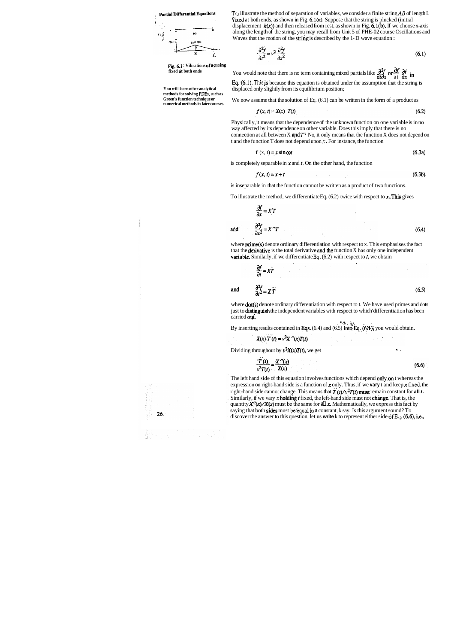

**Fig. 6.1** : **Vibrations of a stlrling fixed nt both ends** 

**You will learn other analytical methods for solving PDEs, such as Green's function technique or numerical methods in later courses.**  T<sub>1</sub>) illustrate the method of separation of variables, we consider a finite string AB of length L *fixed at both ends, as shown in Fig. 6.1(a). Suppose that the string is plucked (initial)* displacement  $h(x)$ ) and then released from rest, as shown in Fig. 6.1(b). If we choose x-axis along the length of the string, you may recall from Unit 5 of PHE-02 course Oscillations and Waves that the motion of the string is described by the 1- D wave equation :

$$
\frac{\partial^2 f}{\partial t^2} = v^2 \frac{\partial^2 f}{\partial x^2}
$$
 (6.1)

You would note that there is no term containing mixed partials like  $\frac{\partial^2 f}{\partial t \partial x}$  or  $\frac{\partial f}{\partial x}$  in Eq. (6.1). This is because this equation is obtained under the assumption that the string is displaced only slightly from its equilibrium position;

We now assume that the solution of Eq.  $(6.1)$  can be written in the form of a product as

$$
f(x, t) = X(x) \hspace{0.2cm} T(t) \tag{6.2}
$$

where **dot**(s) denote ordinary differentiation with respect to t. We have used primes and dots just to distinguish the independent variables with respect to which' differentiation has been carried out. , **'1.1** , +?, - .

By inserting results contained in Eqs.  $(6.4)$  and  $(6.5)$  into Eq.  $(6.1)$ ; you would obtain.

$$
X(x) \dot{T}(t) = v^2 X''(x) T(t)
$$

Dividing throughout by  $v^2X(x)T(t)$ , we get  $\cdot$ 

Physically, it means that the dependence of the unknown function on one variable is in-no way affected by its dependence on other variable. Does this imply that there is no connection at all between X **and T?** No, it only means that the function X does not depend on t and the function T does not depend upon **s** . For instance, the function

$$
f(x, t) = x \sin \omega t \tag{6.3a}
$$

is completely separable in  $x$  and  $t$ . On the other hand, the function

$$
f(x, t) = x + t \tag{6.3b}
$$

is inseparable in that the function cannot be written as a product of two functions.

To illustrate the method, we differentiate Eq.  $(6.2)$  twice with respect to x. This gives

$$
\frac{\partial f}{\partial x} = X'T
$$
  
and 
$$
\frac{\partial^2 f}{\partial x^2} = X''T
$$
 (6.4)

where **prime(s)** denote ordinary differentiation with respect to x. This emphasises the fact that the **derivative** is the total derivative **and** the function  $X$  has only one independent **variable.** Similarly, if we differentiate Eq.  $(6.2)$  with respect to *t*, we obtain

$$
\frac{\partial f}{\partial t} = X\dot{T}
$$
\nand\n
$$
\frac{\partial^2 f}{\partial t^2} = X\dot{T}
$$
\n(6.5)

$$
\frac{\dot{T}(t)}{v^2 T(t)} = \frac{X''(x)}{X(x)}
$$
(6.6)

The left hand side of this equation involves functions which depend only, on t whereas the expression on right-hand side is a function of x only. Thus, if we **vary** t and keep x **fixed,** the right-hand side cannot change. This means that  $\ddot{T}(t)/\nu^2 T(t)$  must remain constant for all t. Similarly, if we vary  $x$  holding  $t$  fixed, the left-hand side must not change. That is, the quantity  $X''(x)/X(x)$  must be the same for **all x.** Mathematically, we express this fact by saying that both sides must **be'equal tp** a constant, k say. Is this argument sound? To discover the answer to this question, let us **write** k to represent either side of  $E<sub>1</sub>$ . (6.6), i.e.,

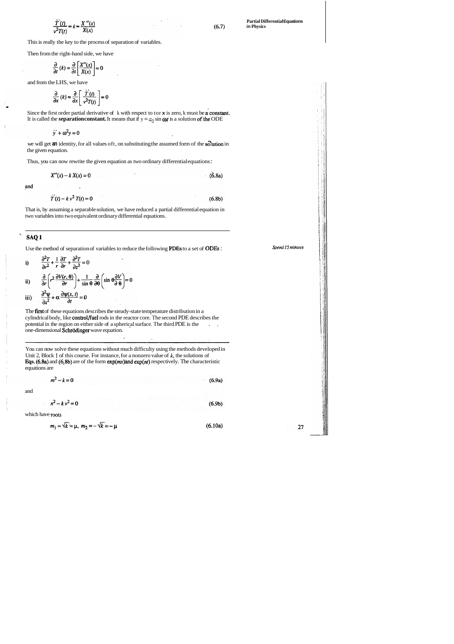$$
\frac{\dot{T}(t)}{v^2 T(t)} = k = \frac{X''(x)}{X(x)}
$$

 $(6.7)$ 

This is really the key to the process of separation of variables.

Then from the right-hand side, we have

$$
\frac{\partial}{\partial t}(k) = \frac{\partial}{\partial t}\left[\frac{X''(x)}{X(x)}\right] = 0
$$

and from the LHS, we have

$$
\frac{\partial}{\partial x}(k) = \frac{\partial}{\partial x}\left[\frac{\dot{T}(t)}{v^2 T(t)}\right] = 0
$$

 $\frac{\partial}{\partial x}(k) = \frac{\partial}{\partial x} \left[ \frac{\partial}{\partial x} \frac{\partial}{\partial y} \right] = 0$ <br>Since the first order partial derivative of k with respect to tor **x** is zero, k must be **a** constant. It is called the **separation constant.** It means that if  $y = a_0 \sin \omega t$  is a solution of the ODE

$$
\ddot{y} + \omega^2 y = 0
$$

we will get an identity, for all values oft, on substituting the assumed form of the solution in the given equation.

Thus, you can now rewrite the given equation as two ordinary differential equations :

$$
X''(x) - k X(x) = 0
$$
 (6.8a)

and

$$
\dot{T}(t) - k v^2 T(t) = 0 \tag{6.8b}
$$

That is, by assuming a separable solution, we have reduced a partial differential equation in two variables into two equivalent ordinary differential equations.

### ' **SAQl**

Use the method of separation of variables to reduce the following PDEs to a set of ODES :

i) 
$$
\frac{\partial^2 T}{\partial r^2} + \frac{1}{r} \frac{\partial T}{\partial r} + \frac{\partial^2 T}{\partial z^2} = 0
$$
  
ii) 
$$
\frac{\partial}{\partial r} \left( r^2 \frac{\partial V(r, \theta)}{\partial r} \right) + \frac{1}{\sin \theta} \frac{\partial}{\partial \theta} \left( \sin \theta \frac{\partial V}{\partial \theta} \right) = 0
$$
  
iii) 
$$
\frac{\partial^2 \Psi}{\partial x^2} + \alpha \frac{\partial \Psi(x, t)}{\partial t} = 0
$$

The first of these equations describes the steady-state temperature distribution in a cylindrical body, like control/fuel rods in the reactor core. The second PDE describes the potential in the region on either side of a spherical surface. The third PDE is the ..., one-dimensional Schrödinger wave equation.

You can now solve these equations without much difficulty using the methods developed in Unit 2, Block **1** of this course. For instance, for a nonzero value of *k,* the solutions of Eqs. (6.8a) and (6.8b) are of the form  $exp(mx)$  and  $exp(nt)$  respectively. The characteristic equations are

$$
-k=0
$$

$$
n^2 - k v^2 = 0
$$
 (6.9b)

and

which have roots

 $m^2$ 

$$
m_1 = \sqrt{k} = \mu, \ m_2 = -\sqrt{k} = -\mu \tag{6.10a}
$$

27

**Spend 15 minutes** 

 $(6.9a)$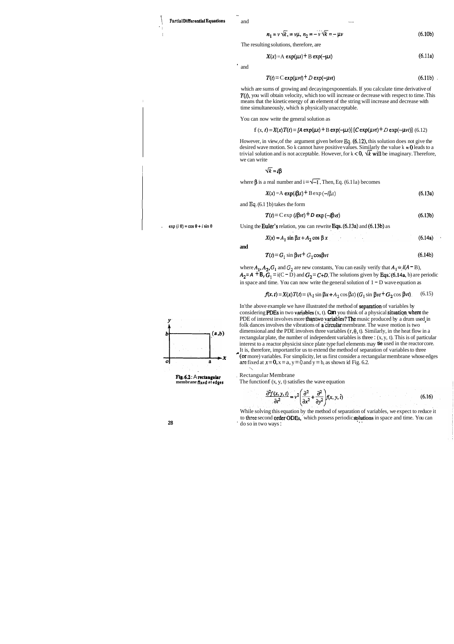-

'I

$$
n_1 = v \sqrt{k}, \quad v \mu, \quad n_2 = -v \sqrt{k} = -\mu v \tag{6.10b}
$$

The resulting solutions, therefore, are

and  $-$ 

which are sums of growing and decaying exponentials. If you calculate time derivative of  $T(t)$ , you will obtain velocity, which too will increase or decrease with respect to time. This <sup>I</sup>means that the kinetic energy of an element of the string will increase and decrease with time simultaneously, which is physically unacceptable.

$$
X(x) = A \exp(\mu x) + B \exp(-\mu x) \tag{6.11a}
$$

' and

$$
T(t) = C \exp(\mu vt) + D \exp(-\mu vt) \tag{6.11b}
$$

You can now write the general solution as

$$
f(x, t) = X(x) T(t) = [A \exp(\mu x) + B \exp(-\mu x)] [C \exp(\mu vt) + D \exp(-\mu vt)]
$$
 (6.12)

However, in view, of the argument given before **Eq.** (6.12), this solution does not give the desired wave motion. So k cannot have positive values. Similarly the value  $k = 0$  leads to a trivial solution and is not acceptable. However, for  $k < 0$ ,  $\forall k$  will be imaginary. Therefore, we can write

 $\sqrt{k} = i\beta$ 

where  $\beta$  is a real number and  $i = \sqrt{-1}$ . Then, Eq. (6.11a) becomes

In'the above example we have illustrated the method of separation of variables by considering **PDEs** in two **variables**  $(x, t)$ . **Can** you think of a physical **situation** where the PDE of interest involves more than two variables? The music produced by a drum used in **and**<br> **of**  $f(\theta) = G_1 \sin \beta b + t^2 Q_2 \cos \beta b$ <br>
where  $A_1, A_2, G_1$  and  $G_2$  are new constants, You can easily verify that  $A_1 = i(A - B)$ ,<br>  $A_2 = A + B_1 G_1 = i(C - D)$  and  $G_2 = C + D$ . The solution of  $1 - D$  wave equation as<br>  $f(x, t) = X(x) T(t) =$ dimensional and the PDE involves three variables  $(r, \theta, t)$ . Similarly, in the heat flow in a rectangular plate, the number of independent variables is three :  $(x, y, t)$ . This is of particular interest to a reactor physicist since plate type fuel elements may **tie** used in the reactor core. It is, therefore, important for us to extend the method of separation of variables to three (or more) variables. For simplicity, let us first consider a rectangular membrane whose edges are fixed at  $x = 0$ ,  $x = a$ ,  $y = 0$  and  $y = b$ , as shown id Fig. 6.2. nore) v<br>ixed at

The function  $f(x, y, t)$  satisfies the wave equation

$$
\frac{\partial^2 f(x, y, t)}{\partial t^2} = v^2 \left( \frac{\partial^2}{\partial x^2} + \frac{\partial^2}{\partial y^2} \right) f(x, y, t)
$$
(6.16)

$$
X(x) = A \exp(i\beta x) + B \exp(-i\beta x)
$$
 (6.13a)

<sup>I</sup>and **Eq.** (6.1 **1** b) takes the form

$$
T(t) = C \exp(i\beta vt) + D \exp(-i\beta vt)
$$
 (6.13b)

 $\exp(i\theta) = \cos\theta + i\sin\theta$  Using the **Euler's** relation, you can rewrite **Eqs. (6.13a)** and **(6.13b)** as

$$
X(x) = A_1 \sin \beta x + A_2 \cos \beta x \tag{6.14a}
$$

**and** 

$$
T(t) = G_1 \sin \beta vt + G_2 \cos \beta vt \tag{6.14b}
$$

where  $A_1$ ,  $A_2$ ,  $G_1$  and  $G_2$  are new constants, You can easily verify that  $A_1 = i(A - B)$ ,  $A_2 = A + B$ ,  $G_1 = i(C - D)$  and  $G_2 = C + D$ . The solutions given by Eqs. (6.14a, b) are periodic in space and time. You can now write the general solution of  $1 - D$  wave equation as

While solving this equation by the method of separation of variables, we expect to reduce it to three second **order ODEs**, which possess periodic **solutions** in space and time. You can do so in two ways :



**Fig. 6.2**: A **rectangular c** Rectangular Membrane **membrane fixed at edges** The functionf  $(x, y, t)$  satis

$$
f(x, t) = X(x)T(t) = (A_1 \sin \beta x + A_2 \cos \beta x) (G_1 \sin \beta vt + G_2 \cos \beta vt). \tag{6.15}
$$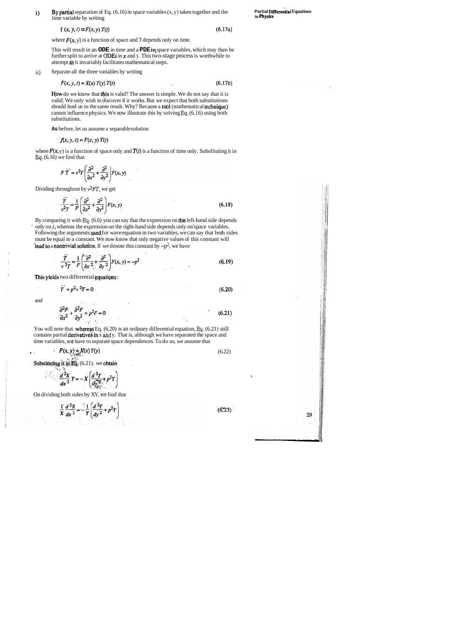i) By partial separation of Eq. (6.16) in space variables (x, y) taken together and the **Partial Differential Equations** in **Physics** time variable by writing

f (x, y, t) =  $F(x, y) T(t)$  (6.17a)

where  $F(x, y)$  is a function of space and T depends only on time.

This will result in an **ODE** in time and a **PDE** in, space variables, which may then be further split to arrive at ODEs in  $x$  and y. This two-stage process is worthwhile to attempt ds it invariably facilitates mathematical steps.

How do we know that this is valid? The answer is simple. We do not say that it is valid; We only wish to discover if it works. But we expect that both substitutions should lead us to the same result. Why? Because a tool (mathematical technique) cannot influence physics. We now illustrate this by solving **Eq.** (6.16) using both substitutions.

ii) Separate all the three variables by writing

$$
F(x, y, t) = X(x) Y(y) T(t)
$$
\n
$$
(6.17b)
$$

where  $F(x, y)$  is a function of space only and  $T(t)$  is a function of time only. Subsfituting it in **Eq.** (6.16) we find that

 $F \dot{T} = v^2 T \left( \frac{\partial^2}{\partial x^2} + \frac{\partial^2}{\partial y^2} \right) F(x, y)$ 

Dividing throughout by  $v^2FT$ , we get

$$
\frac{\dot{T}}{\dot{r}^2} = \frac{1}{F} \left( \frac{\partial^2}{\partial x^2} + \frac{\partial^2}{\partial y^2} \right) F(x, y)
$$
\n(6.18)

By comparing it with **Eq.** (6.6) you can say that the expression on th'e left-hand side depends only on  $t_i$  whereas the expression on the right-hand side depends only on'space variables. Following the arguments **ysed** for wave equation in two variables, we can say that both sides must be equal to a constant. We now know that only negative values of this constant will lead to a nontrivial solution. If we denote this constant by  $-p^2$ , we have

$$
\frac{T}{v^2T} = \frac{1}{F} \left( \frac{\partial^2}{\partial x^2} + \frac{\partial^2}{\partial y^2} \right) F(x, y) = -p^2
$$
\n(6.19)

This yields two differential equations :

 $\ddot{T} + p^2v^2T = 0$  $(6.20)$ 

**As** before, let us assume a separable solution

$$
f(x, y, t) = F(x, y) T(t)
$$

You will note that **whereas** Eq. (6.20) is an ordinary differential equation, Eq. (6.21) still contains partial derivatives in x and y. That is, although we have separated the space and time variables, **we** have to separate space dependences. To do so, we assume that

and

$$
\frac{\partial^2 F}{\partial x^2} + \frac{\partial^2 F}{\partial y^2} + p^2 F = 0
$$
 (6.21)

$$
F(x, y) = X(x) Y(y)
$$
\n(6.22)

**Substituting it in Eq.**  $(6.21)$ , we obtain

$$
\frac{d^2X}{dx^2}Y = -X\left(\frac{d^2Y}{dy_{\text{grav}}^{\text{max}}} + p^2Y\right)
$$

**I** 

29

On dividing both sides by XY, we find that

$$
\frac{1}{x}\frac{d^2X}{dx^2} = -\frac{1}{Y}\left(\frac{d^2Y}{dy^2} + p^2Y\right)
$$

 $(6.23)$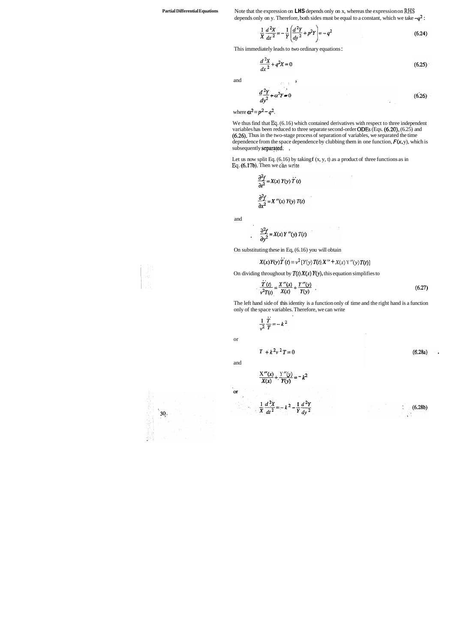**Partial Differential Equations** Note that the expression on **LHS** depends only on x, whereas the expression on **RHS**  depends only on y. Therefore, both sides must be equal to a constant, which we take **-q2** :

 $\Delta$ 

$$
\frac{1}{X}\frac{d^2X}{dx^2} = -\frac{1}{Y}\left(\frac{d^2Y}{dy^2} + p^2Y\right) = -q^2\tag{6.24}
$$

This immediately leads to two ordinary equations :

 $\overline{a}$ 

$$
\frac{d^2X}{dx^2} + q^2X = 0\tag{6.25}
$$

and **L L 1** 

$$
\frac{d^2Y}{dy^2} + \alpha^2Y = 0\tag{6.26}
$$

where  $\alpha^2 = p^2 - q^2$ .

We thus find that Eq.  $(6.16)$  which contained derivatives with respect to three independent variables has been reduced to three separate second-order ODES (Eqs. (6.20), (6.25) and (6.26). Thus in the two-stage process of separation of variables, we separated the time dependence from the space dependence by clubbing them in one function,  $F(x, y)$ , which is subsequently separated. ,

Let us now split Eq.  $(6.16)$  by taking  $f(x, y, t)$  as a product of three functions as in **Eq.** (6.17b). Then we *c'h* **wtite** 

$$
\frac{\partial^2 f}{\partial t^2} = X(x) Y(y) \dot{T}(t)
$$

$$
\frac{\partial^2 f}{\partial x^2} = X''(x) Y(y) T(t)
$$

and

$$
\frac{\partial^2 f}{\partial y^2} = X(x) Y''(y) T(t)
$$

On substituting these in Eq, (6.16) you will obtain

$$
X(x) Y(y) T(t) = v^{2} [Y(y) T(t) X'' + X(x) Y''(y) T(t)]
$$

On dividing throughout by  $T(t) X(x) Y(y)$ , this equation simplifies to

$$
\frac{T(t)}{v^2T(t)} = \frac{X''(x)}{X(x)} + \frac{Y''(y)}{Y(y)}\tag{6.27}
$$

The left hand side of this identity is a function only of time and the right hand is a function only of the space variables. Therefore, we can write

$$
\frac{1}{v^2}\frac{\ddot{T}}{T}=-k^2
$$

or

$$
T + k^2 \nu^2 T = 0 \tag{6.28a}
$$

and

 $\alpha$ 

$$
\frac{X''(x)}{X(x)} + \frac{Y''(y)}{Y(y)} = -k^2
$$

$$
\frac{1}{X}\frac{d^{2}X}{dt^{2}}=-k^{2}-\frac{1}{Y}\frac{d^{2}Y}{dy^{2}}
$$



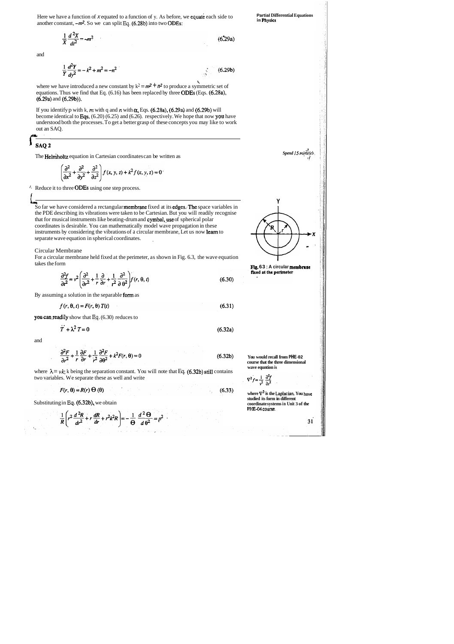Here we have a function of  $x$  equated to a function of y. As before, we **equate** each side to **Partial Differential Equations** in **Physics Partial Physics in Physlcs** another constant, **-m2.** So we can split **Eq.** (6.28b) into two ODEs:

 $(6.29a)$ 

 $(6.29b)$ 

 $\frac{1}{X}\frac{d^2X}{dt^2} = -m^2$ 

and

where we have introduced a new constant by  $k^2 = m^2 + n^2$  to produce a symmetric set of equations. Thus we find that Eq. (6.16) has been replaced by three ODES (Eqs. (6.28a), (6.29a) and (6.29b)).

$$
\frac{1}{Y}\frac{d^2Y}{dy^2} = -k^2 + m^2 = -n^2
$$

If you identify p with k, m with q and n with  $\alpha$ , Eqs. (6.28a), (6.29a) and (6.29b) will become identical to Eqs. (6.20) (6.25) and (6.26). respectively. We hope that now ypu have understood both the processes. To get a better grasp of these concepts you may like to work out an SAQ.

## SAQ<sub>2</sub>

The Helniholtz equation in Cartesian coordinates can be written as

$$
\left(\frac{\partial^2}{\partial x^2} + \frac{\partial^2}{\partial y^2} + \frac{\partial^2}{\partial z^2}\right) f(x, y, z) + k^2 f(x, y, z) = 0
$$

a?. *Spend* **15 rnin'rrfci.** 

**I{** 

**FIg.** 63 : A circular **membrane** fixed at the perimeter

:. Reduce it to three ODEs using one step process.

**I** 

where  $\lambda = v k$ ; k being the separation constant. You will note that Eq. (6.32b) still contains two variables. We separate these as well and write

$$
F(r, \theta) = R(r) \Theta(\theta) \tag{6.33}
$$

where  $\nabla^2$  is the Laplacian. You have **studied its form in different coordinate systems in Unit 3 of the PHE-04 course.** 

31

**b\* Y**  So far we have considered a rectangular **membrane** fixed at its **edges. The** space variables in the PDE describing its vibrations were taken to be Cartesian. But you will readily recognise that for musical instruments Iike beating-drum and cymbal, use of spherical polar coordinates is desirable. You can mathematically model wave propagation in these instruments by considering the vibrations of a circular membrane, Let us now **learn** to separate wave equation in spherical coordinates. ,



Circular Membrane

For a circular membrane held fixed at the perimeter, as shown in Fig. 6.3, the wave equation

$$
\frac{\partial^2 f}{\partial t^2} = v^2 \left( \frac{\partial^2}{\partial r^2} + \frac{1}{r} \frac{\partial}{\partial r} + \frac{1}{r^2} \frac{\partial^2}{\partial \theta^2} \right) f(r, \theta, t)
$$
(6.30)

By assuming a solution in the separable form as

$$
f(r, \theta, t) = F(r, \theta) T(t) \tag{6.31}
$$

you can readily show that Eq. (6.30) reduces to

$$
\ddot{T} + \lambda^2 T = 0 \tag{6.32a}
$$

and

$$
\frac{\partial^2 F}{\partial r^2} + \frac{1}{r} \frac{\partial F}{\partial r} + \frac{1}{r^2} \frac{\partial^2 F}{\partial \theta^2} + k^2 F(r, \theta) = 0
$$
 (6.32b)

Substituting in **Eq.** (6.32b), we obtain

$$
\frac{1}{R}\left(r^2\frac{d^2R}{dr^2}+r\frac{dR}{dr}+r^2k^2R\right)=-\frac{1}{\Theta}\frac{d^2\Theta}{d\theta^2}=p^2
$$

**You would recall from PHE-02 course that the three dimensional wave equntion is** 

$$
\nabla^2 f = \frac{1}{v^2} \frac{\partial^2 f}{\partial t^2}
$$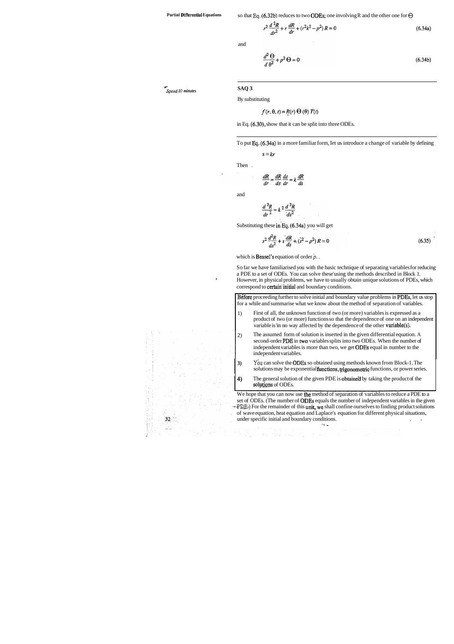**Partial Differential Equations** so that Eq.  $(6.32b)$  reduces to two **ODEs;** one involving R and the other one for  $\Theta$ 

 $r^2 \frac{d^2 R}{dr^2} + r \frac{dR}{dr} + (r^2 k^2 - p^2) R = 0$  $(6.34a)$ 

**7.-**  *Sperrd* 10 *minutes* 

 $32<sup>1</sup>$ 

and

$$
\frac{d^2\Theta}{d\theta^2} + p^2\Theta = 0\tag{6.34b}
$$

**SAQ 3** 

By substituting

$$
f(r, \theta, t) = R(r) \Theta(\theta) T(t)
$$

in Eq. (6.30), show that it can be split into three ODEs.

To put Eq..(6.34a) in a more familiar form, Iet us introduce a change of variable by defining

 $s = kr$ 

Then .

$$
\frac{dR}{dr} = \frac{dR}{ds}\frac{ds}{dr} = k\frac{dR}{ds}
$$

and

$$
\frac{d^2R}{dr^2} = k^2 \frac{d^2R}{ds^2}
$$

Substituting these in Eq.  $(6.34a)$  you will get

$$
s^2 \frac{d^2 R}{ds^2} + s \frac{dR}{ds} + (\tilde{s}^2 - p^2) R = 0
$$
 (6.35)

which is Bessel's equation of order **p.** .

Before proceeding further to solve initial and boundary value problems in PDEs, let us stop for a while and summarise what we know about the method of separation of variables.

- 1) First of all, the unknown function of two (or more) variables is expressed as a product of two (or more) functions so that the dependence of one on an independent variable is 'in no way affected by the dependence of the other variable(s).
- 2) The assumed form of solution is inserted in the given differential equation. A second-order PDE in two variables splits into two ODEs. When the number of independent variables is more than two, we get ODES equal in number to the independent variables.
- 3) You can solve the ODEs so obtained using methods known from Block-1. The solutions may be exponential functions, trigonometric functions, or power series.
- **4)** The general solution of the given PDE is obtaine'd by taking the product of the solutions of ODEs.

We hope that you can now use the method of separation of variables to reduce a PDE to a set of ODEs. (The number of ODES equals the number of independent variables in the given  $-$  PDE:) For the remainder of this unit, we shall confine ourselves to finding product solutions of wave equation, heat equation and Laplace's equation for different physical situations, under specific initial and boundary conditions.

So far we have familiarised you with the basic technique of separating variables for reducing a PDE to a set of ODEs. You can solve these'using the methods described in Block 1. However, in physical problems, we have to usually obtain unique solutions of PDEs, which correspond to certain'initial and boundary conditions.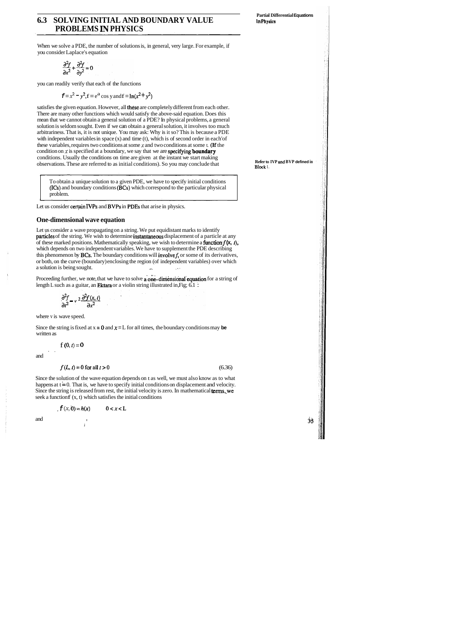**Partial Differential Equations** 

## **6.3 SOLVING INITIAL AND BOUNDARY VALUE In physics PROBLEMS IN PHYSICS**

When we solve a PDE, the number of solutions is, in general, very large. For example, if you consider Laplace's equation

$$
\frac{\partial^2 f}{\partial x^2} + \frac{\partial^2 f}{\partial y^2} = 0
$$

you can readily verify that each of the functions

$$
f = x^2 - y^2
$$
,  $f = e^a \cos y$  and  $f = \ln(x^2 + y^2)$ 

satisfies the given equation. However, all these are completely different from each other. There are many other functions which would satisfy the above-said equation. Does this mean that we cannot obtain a general solution of a PDE? In physical problems, a general solution is seldom sought. Even if we can obtain a general solution, it involves too much arbitrariness. That is, it is not unique. You may ask: Why is it so? This is because a PDE with independent variables in space (x) and time (t), which is of second order in each 'of these variables, requires two conditions at some **x** and two conditions at some t. (1f the condition on  $\vec{x}$  is specified at a boundary, we say that we are **specifying boundary** conditions. Usually the conditions on time are given at the instant we start making observations. These are referred to as initial conditions). So you may conclude that

Let us consider a wave propagating on a string. We put equidistant marks to identify particles of the string. We wish to determine instantaneous displacement of a particle at any of these marked positions. Mathematically speaking, we wish to determine a **function**  $f(x, t)$ , which depends on two independent variables. We have to supplement the PDE describing this phenomenon by **BCs**. The boundary conditions will **involve**  $f$ , or some of its derivatives, or both, on the curve (boundary) enclosing the region (of independent variables) over which a solution is being sought.  $\ldots$ , ... , ...

Proceeding further, we note, that we have to solve a one-dimensional equation for a string of length L such as a guitar, an Ektara or a violin string illustrated in, Fig; 6.1 :

$$
\frac{\partial^2 f}{\partial t^2} = v^2 \frac{\partial^2 f(x,t)}{\partial x^2}
$$

Since the solution of the wave equation depends on t as well, we must also know as to what happens at  $t = 0$ . That is, we have to specify initial conditions on displacement and velocity. Since the string is released from rest, the initial velocity is zero. In mathematical terms, we seek a function  $f(x, t)$  which satisfies the initial conditions

To obtain a unique solution to a given PDE, we have to specify initial conditions (ICs) and boundary conditions (BCs) which correspond to the particular physical problem.

Let us consider certain IVPs and BVPs in PDEs that arise in physics.

**Refer to IVP md BVP defined in Block I.** 

#### **One-dimensional wave equation**

where v is wave speed.

Since the string is fixed at  $x = 0$  and  $x = L$  for all times, the boundary conditions may be written as

. ,

$$
f(0,t)\!=\!0
$$

and

$$
f(L, t) = 0 \text{ for all } t > 0 \tag{6.36}
$$

$$
f(x, 0) = h(x) \qquad 0 < x < L
$$

 $\frac{1}{1}$ 

and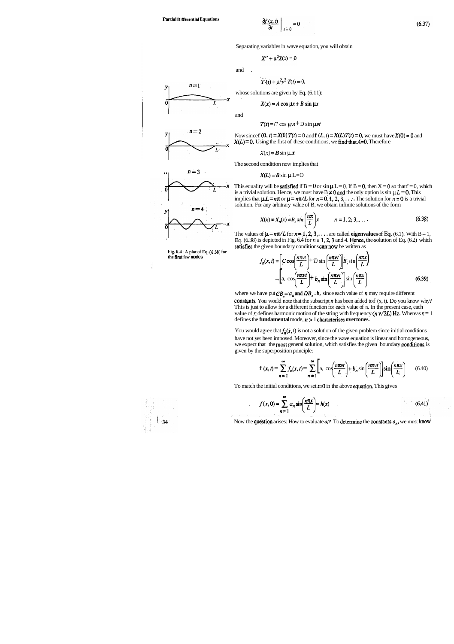$$
\left.\frac{\partial f(x,t)}{\partial t}\right|_{t=0}=0
$$

Separating variables in wave equation, you will obtain

$$
X'' + \mu^2 X(x) = 0
$$

and

$$
T(t) + \mu^2 v^2 T(t) = 0.
$$

whose solutions are given by Eq.  $(6.11)$ :

$$
X(x) = A \cos \mu x + B \sin \mu x
$$

and

$$
T(t) = C \cos \mu vt + D \sin \mu vt
$$

Now since  $f(0, t) = X(0) T(t) = 0$  and  $f(L, t) = X(L) T(t) = 0$ , we must have  $X(0) = 0$  and  $X(L) = 0$ . Using the first of these conditions, we find that  $A=0$ . Therefore



 $n=1$ 

y.

$$
X(x) = B \sin \mu x
$$

The second condition now implies that

$$
X(L) = B \sin \mu L = 0
$$

This equality will be **satisfied** if  $B = 0$  or  $\sin \mu L = 0$ . If  $B = 0$ , then  $X = 0$  so that  $f = 0$ , which is a trivial solution. Hence, we must have  $B \neq 0$  and the only option is sin  $\mu L = 0$ . This implies that  $\mu L = n\pi$  or  $\mu = n\pi/L$  for  $n = 0, 1, 2, 3, \ldots$ . The solution for  $n = 0$  is a trivial solution. For any arbitrary value of B, we obtain infinite solutions of the form



**Fig. 6.4** : **A plot of Eq. (6.38) for the first few modes** 



where we have put  $CB_n = a_n$  and  $DB_n = b$ , since each value of *n* may require different constants. You would note that the subscript  $n$  has been added to  $f(x, t)$ . Do you know why? This is just to allow for a different function for each value of n. In the present case, each value of *n* defines harmonic motion of the string with frequency  $(n \nu / 2L)$  Hz. Whereas  $n = 1$ defines the **fundamental** mode, **n** > 1 characterises **overtones.** 

$$
X(x) = X_n(x) = B_n \sin\left(\frac{n\pi}{L}\right)x \qquad n = 1, 2, 3, \dots \qquad (6.38)
$$

The values of  $\mu = n\pi/L$  for  $n = 1, 2, 3, \ldots$  are called **eigenvalues** of **Eq.** (6.1). With B = 1, Eq.  $(6.38)$  is depicted in Fig.  $6.4$  for  $n = 1, 2, 3$  and 4. Hence, the solution of Eq.  $(6.2)$  which satisfies the given boundary conditions can now be written as

You would agree that  $f_n(x, t)$  is not a solution of the given problem since initial conditions have not yet been imposed. Moreover, since the wave equation is linear and homogeneous, given by the superposition principle:

$$
f_n(x, t) = \left[ C \cos\left(\frac{n\pi vt}{L}\right) + D \sin\left(\frac{n\pi vt}{L}\right) \right] B_n \sin\left(\frac{n\pi x}{L}\right)
$$
  
= 
$$
\left[ a, \cos\left(\frac{n\pi vt}{L}\right) + b_n \sin\left(\frac{n\pi vt}{L}\right) \right] \sin\left(\frac{n\pi x}{L}\right)
$$
(6.39)

The object has a point of the object is not a point of the object. We expect that the most general solution, which satisfies the given boundary conditions, is given by the superposition principle:\n
$$
f(x,t) = \sum_{n=1}^{\infty} f_n(x,t) = \sum_{n=1}^{\infty} \left[ a_n \cos\left(\frac{n\pi vt}{L}\right) + b_n \sin\left(\frac{n\pi vt}{L}\right) \right] \sin\left(\frac{n\pi x}{L}\right) \tag{6.40}
$$

To match the initial conditions, we set  $t=0$  in the above equation. This gives

$$
f(x,0) = \sum_{n=1}^{\infty} a_n \sin\left(\frac{n\pi x}{L}\right) = h(x) \tag{6.41}
$$

Now the question arises: How to evaluate  $a$ ? To determine the constants  $a_n$ , we must know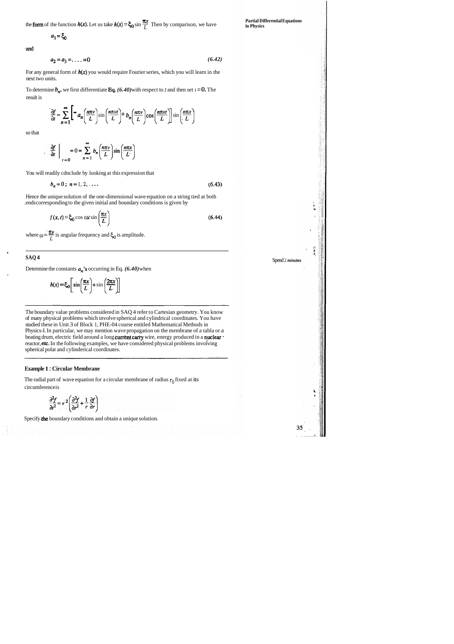the form of the function  $h(x)$ . Let us take  $h(x) = \xi_0 \sin \frac{\pi x}{L}$ . Then by comparison, we have

 $a_1 = \xi_0$ 

\*and

$$
a_2 = a_3 = \dots = 0 \tag{6.42}
$$

To determine  $b_n$ , we first differentiate Eq.  $(6.40)$  with respect to *t* and then set t = 0. The result is

For any general form of *h(x)* you would require Fourier series, which you will learn in the next two units.

$$
\frac{\partial f}{\partial t} = \sum_{n=1}^{\infty} \left[ -a_n \left( \frac{n \pi v}{L} \right) \sin \left( \frac{n \pi v t}{L} \right) + b_n \left( \frac{n \pi v}{L} \right) \cos \left( \frac{n \pi v t}{L} \right) \right] \sin \left( \frac{n \pi x}{L} \right)
$$

so that

$$
\frac{\partial f}{\partial t}\Big|_{t=0} = 0 = \sum_{n=1}^{\infty} b_n \left(\frac{n\pi v}{L}\right) \sin\left(\frac{n\pi x}{L}\right)
$$

You will readily cdnclude by looking at this expression that

$$
b_n = 0; \; n = 1, 2, \ldots
$$

Hence the unique solution of the one-dimensional wave equation on a string tied at both

ends corresponding to the given initial and boundary conditions is given by  
\n
$$
f(x, t) = \xi_0 \cos \omega t \sin \left(\frac{\pi x}{L}\right)
$$
\n(6.44)

 $(6.43)$ 

where  $\omega = \frac{\pi v}{L}$  is angular frequency and  $\xi_0$  is amplitude.

#### **SAQ 4**

Determine the constants an's occurring in Eq. *(6.40)* when

**1** 

$$
h(x) = \xi_0 \left[ \sin \left( \frac{\pi x}{L} \right) + \sin \left( \frac{2\pi x}{L} \right) \right]
$$

The boundary value problems considered in SAQ 4 refer to Cartesian geometry. You know of many physical problems which involve spherical and cylindrical coordinates. You have studied these in Unit 3 of Block 1, PHE-04 course entitled Mathematical Methods in Physics-I. In particular, we may mention wave propagation on the membrane of a tabla or a beating drum, electric field around a long current carry wire, energy produced in a nuclear reactor, etc. In the following examples, we have considered physical problems involving spherical polar and cylinderical coordinates.

#### **Example 1** : **Circular Membrane**

The radial part of wave equation for a circular membrane of radius  $r_0$  fixed at its circumference is

$$
\frac{\partial^2 f}{\partial t^2} = v^2 \left( \frac{\partial^2 f}{\partial r^2} + \frac{1}{r} \frac{\partial f}{\partial r} \right)
$$

Specify he boundary conditions and obtain a unique solution.

**Partial Differential Equations in Physics** 

Spend 2 **minutes** 

35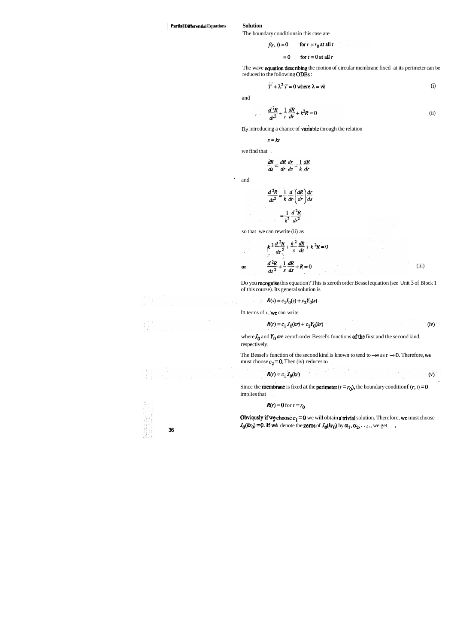### <sup>1</sup>**Partial Differential Equations Solution**

The boundary conditions in this case are

$$
f(r, t) = 0 \qquad \text{for } r = r_0 \text{ at all } t
$$

$$
= 0 \qquad \text{for } t = 0 \text{ at all } r
$$

The wave **equation** describing the motion of circular membrane fixed at its perimeter can be reduced to the following ODES :

$$
\dot{T} + \lambda^2 T = 0 \text{ where } \lambda = vk \tag{i}
$$

and

we find that .

 $\hat{\mathcal{K}}$ 

$$
\frac{dR}{ds} = \frac{dR}{dr}\frac{dr}{ds} = \frac{1}{k}\frac{dR}{dr}
$$

' and

where  $J_0$  and  $Y_0$  *are* zeroth order Bessel's functions of the first and the second kind, respectively.

 $\mathcal{A} \subset \mathcal{A}$ 

The Bessel's function of the second kind is known to tend to  $-\infty$  as  $r \to 0$ . Therefore, we must choose  $c_2 = 0$ . Then (iv) reduces to ,

$$
\frac{d^2R}{ds^2} = \frac{1}{k} \frac{d}{dr} \left(\frac{dR}{dr}\right) \frac{dr}{ds}
$$

$$
= \frac{1}{k^2} \frac{d^2R}{dr^2}
$$

so that we can rewrite (ii) as

$$
\frac{d^2R}{dr^2} + \frac{1}{r}\frac{dR}{dr} + k^2R = 0
$$
 (ii)

By introducing a chance of **variable** through the relation

$$
s = kr
$$

$$
k^{2} \frac{d^{2}R}{ds^{2}} + \frac{k^{2}}{s} \frac{dR}{ds} + k^{2}R = 0
$$
  
or 
$$
\frac{d^{2}R}{ds^{2}} + \frac{1}{s} \frac{dR}{ds} + R = 0
$$
 (iii)

Do you recognise this equation? This is zeroth order Bessel equation (see Unit 3 of Block 1 of this course). Its general solution is

$$
R(s) = c_1 J_0(s) + c_2 Y_0(s)
$$

In terms of  $r$ , we can write

$$
R(r) = c_1 J_0(kr) + c_2 Y_0(kr)
$$
 (iv)

20,825

Since the **membrane** is fixed at the **perimeter**  $(r = r_0)$ , the boundary condition  $r(r, t) = 0$ implies that .

 $(v)$ 

### $R(r) = 0$  for  $r = r_0$

 $R(r) = c_1 J_0(kr)$ 

**Obviously if we choose**  $c_1 = 0$  we will obtain a trivial solution. Therefore, we must choose *J***<sub>0</sub>(** $k\tau_0$ **) = 0. If we denote the zeros of**  $J_0(kr_0)$  **by**  $\alpha_1, \alpha_2, \ldots$ **, we get** 

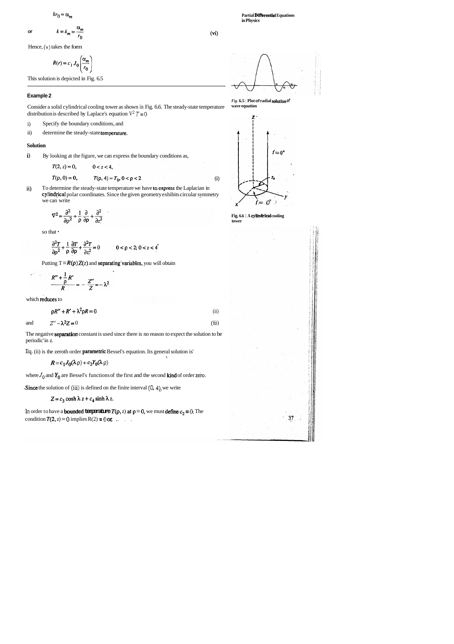**Partial DilTerential Equations in Physics** 

$$
kr_0 = \alpha_m
$$

or 
$$
k \equiv k_m =
$$

Hence, **(v)** takes the form

$$
R(r) = c_1 J_0 \left( \frac{\alpha_m}{r_0} \right)
$$

 $\alpha_m$ 

 $r_0$ 

Consider a solid cylindrical cooling tower as shown in Fig. 6.6. The steady-state temperature distribution is described by Laplace's equation  $V^2 T = 0$ 

This solution is depicted in Fig. 6.5

#### **Example 2**

- i) Specify the boundary conditions, and
- ii) determine the steady-state temperature.

ii) To determine the steady-state temperature we have to express the Laplacian in cylindfical polar coordinates. Since the given geometry exhibits circular symmetry we can write

$$
\nabla^2 = \frac{\partial^2}{\partial \rho^2} + \frac{1}{\rho} \frac{\partial}{\partial \rho} + \frac{\partial^2}{\partial z^2}
$$

#### **Solution**

**i)** By looking at the figure, we can express the boundary conditions as,

$$
T(2, z) = 0, \qquad 0 < z < 4,
$$

$$
T(\rho, 0) = 0, \qquad T(\rho, 4) = T_0, \quad 0 < \rho < 2
$$

The negative **separation** constant is used since there is no reason to expect the solution to be periodic' in z.

Eq. (ii) is the zeroth order **parametric** Bessel's equation. Its general solution is'

so that

 $\partial^2 T$  $\mathbf{1}$ 

 $\partial \rho^2$ 

 $\rho$ 

$$
\frac{\partial T}{\partial \rho} + \frac{\partial^2 T}{\partial z^2} = 0 \qquad 0 < \rho < 2; \ 0 < z < 4
$$

Putting  $T = R(\rho) Z(z)$  and separating variables, you will obtain

$$
\frac{R'' + \frac{1}{\rho}R'}{R} = -\frac{Z''}{Z} = -\lambda^2
$$

which reduces to

 $\rho R'' + R' + \lambda^2 \rho R = 0$  (ii)

$$
\frac{T}{r^2} = 0 \qquad 0 < \rho < 2; \, 0 < z < 4
$$

$$
\frac{R'' + \frac{1}{\rho}R'}{R} = -\frac{Z''}{Z} = -\lambda^2
$$

$$
\rho R'' + R' + \lambda^2 \rho R = 0 \tag{ii}
$$
  
and 
$$
Z'' - \lambda^2 Z = 0 \tag{iii}
$$

$$
R = c_1 J_0(\lambda \rho) + c_2 Y_0(\lambda \rho)
$$

where  $J_0$  and  $Y_0$  are Bessel's functions of the first and the second **kind** of order **zero**.

**Since** the solution of **(iii)** is defined on the finite interval  $(0, 4)$ , we write



*Fig.* **6.5** : **Plot of radial soiutlon of wave equation** 



**Fig. 6.6** : **A cylindrlcnl cooling tower** 



 $(vi)$ 

 $(i)$ 

$$
Z = c_3 \cosh \lambda z + c_4 \sinh \lambda z.
$$

In order to have a **bounded temperature**  $T(\rho, z)$  at  $\rho = 0$ , we must define  $c_2 = 0$ . The condition  $T(2, z) = 0$  implies  $R(2) = 0$  or , ...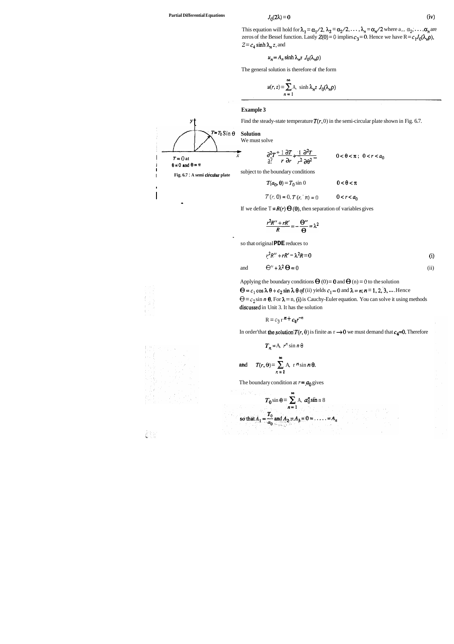This equation will hold for  $\lambda_1 = \alpha_1/2$ ,  $\lambda_2 = \alpha_2/2$ , ...,  $\lambda_n = \alpha_n/2$  where  $a_1, \alpha_2, \ldots, \alpha_n$  are zeros of the Bessel function. Lastly  $Z(0) = 0$  implies  $c_3 = 0$ . Hence we have  $R = c_1J_0(\lambda_n\rho)$ ,  $Z = c_4 \sinh \lambda_n z$ , and

$$
u_n = A_n \sinh \lambda_n z J_0(\lambda_n \rho)
$$

The general solution is therefore of the form

$$
u(r, z) = \sum_{n=1}^{\infty} A_n \sinh \lambda_n z J_0(\lambda_n \rho)
$$

#### **Example 3**

 $y \uparrow$  Find the steady-state temperature  $T(r, 0)$  in the semi-circular plate shown in Fig. 6.7.

Applying the boundary conditions  $\Theta$  (0) = 0 and  $\Theta$  (n) = 0 to the solution  $\Theta = c_1 \cos \lambda \theta + c_2 \sin \lambda \theta$  of (ii) yields  $c_1 = 0$  and  $\lambda = n$ ;  $n = 1, 2, 3, ...$  Hence  $\Theta = c_2 \sin n \theta$ . For  $\lambda = n$ , (i) is Cauchy-Euler equation. You can solve it using methods discussed in Unit 3. It has the solution



If we define  $T = R(r) \Theta(\theta)$ , then separation of variables gives

 $T(r, 0) = 0, T(r, \pi) = 0$   $0 < r < a_0$ 

$$
\frac{r^2R''+rR'}{R}=-\frac{\Theta''}{\Theta}=\lambda^2
$$

I

-



乱日

'

so that original **PDE** reduces to

$$
v^2 R'' + rR' - \lambda^2 R = 0 \tag{i}
$$

and 
$$
\Theta'' + \lambda^2 \Theta = 0
$$
 (ii)

$$
R = c_3 r^n + c_4 r^{-n}
$$

In order'that the solution  $T(r, \theta)$  is finite as  $r \to 0$  we must demand that  $c_4=0$ . Therefore

$$
T_n = A, r^n \sin n \theta
$$
  
and 
$$
T(r, \theta) = \sum_{n=1}^{\infty} A, r^n \sin n \theta.
$$

The boundary condition at  $r = a_0$  gives

$$
T_0 \sin \theta = \sum_{n=1}^{\infty} A_n a_0^n \sin n \, 8
$$

so that 
$$
A_1 = \frac{T_0}{a_0}
$$
 and  $A_2 = A_3 = 0 = \dots = A_n$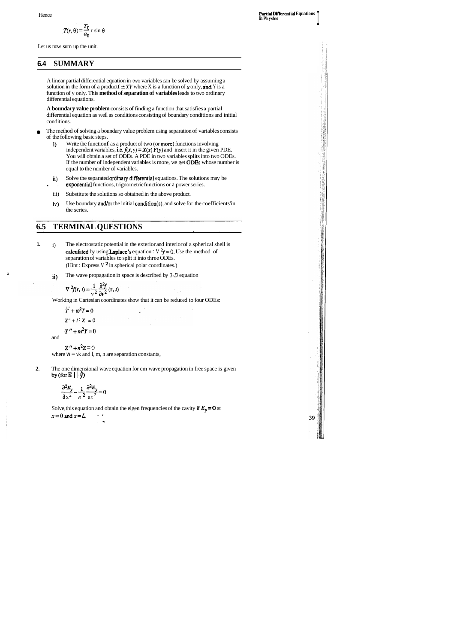ė,

39

$$
T(r, \theta) = \frac{T_0}{a_0} \sin \theta
$$

Let us now sum up the unit.

## **6.4 SUMMARY**

A linear partial differential equation in two variables can be solved by assuming a solution in the form of a product  $f = XY$  where X is a function of x only, and Y is a function of y only. This **method of separation of variables** leads to two ordinary differential equations.

**A boundary value problem** consists of finding a function that satisfies a partial differential equation as well as conditions consisting of boundary conditions and initial conditions.

**2.** The one dimensional wave equation for em wave propagation in free space is given by (for  $E \mid \cdot \hat{y}$ )

- The method of solving a boundary value problem using separation of variables consists of the following basic steps.
	- i) Write the function f as a product of two (or more) functions involving independent variables, i.e.  $f(x, y) = X(x) Y(y)$  and insert it in the given PDE. You will obtain a set of ODEs. A PDE in two variables splits into two ODEs. If the number of independent variables is more, we get ODES whose number is equal to the number of variables.
	- ii) Solve the separated **ordinary** differential equations. The solutions may be
	- exponential functions, trignometric functions or a power series.
	- iii) Substitute the solutions so obtained in the above product.
	- iv) Use boundary and/or the initial condition(s), and solve for the coefficients'in the series.

Solve, this equation and obtain the eigen frequencies of the cavity if  $E_y = 0$  at  $x=0$  and  $x=L$ . , **I.** 

# **6.5 TERMINAL QUESTIONS**

- **1.** i) The electrostatic potential in the exterior and interior of a spherical shell is calculated by using **Laplace's** equation :  $\nabla^2 f = 0$ . Use the method of separation of variables to split it into three ODEs. (Hint : Express V  $^2$  in spherical polar coordinates.)
	- ii) The wave propagation in space is described by **3-0** equation

$$
\nabla^2 f(\mathbf{r}, t) = \frac{1}{v^2} \frac{\partial^2 f}{\partial t^2}(\mathbf{r}, t)
$$

**J** 

 $Z'' + n^2Z = 0$ 

where  $W = vk$  and I, m, n are separation constants,

Working in Cartesian coordinates show that it can be reduced to four ODEs:

$$
\ddot{T} + \omega^2 T = 0
$$

 $X'' + l^2 X = 0$ 

 $Y'' + m^2Y = 0$ 

and

$$
\frac{\partial^2 E_y}{\partial x^2} - \frac{1}{c^2} \frac{\partial^2 E_y}{\partial x^2} = 0
$$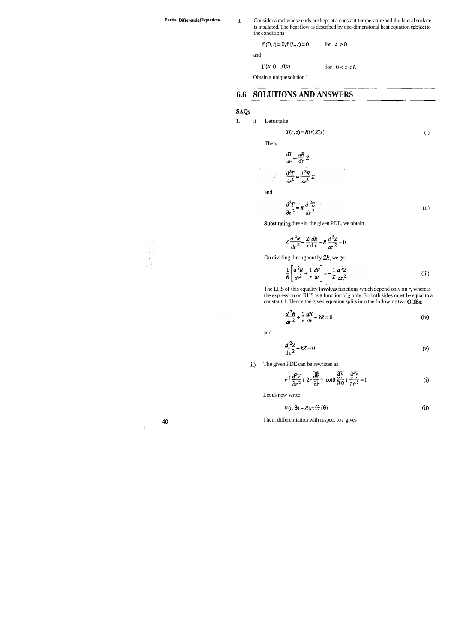Partial Differential Equations 3. Consider a rod whose ends are kept at a constant temperature and the lateral surface is insulated. The heat flow is described by one-dimensional heat equation subject to the conditions

$$
\text{f}(0,t)\!=\!0,\text{f}(L,t)\!=\!0\qquad \quad \text{for}\quad t>0
$$

and

f  $(x, t) = f(x)$  for  $0 < x < L$ 

Obtain a unique solution.'

# **6.6 SOLWTIONS.AND ANSWERS**

### SAQs

1. i) Letustake

$$
T(r, z) = R(r) Z(z)
$$
 (i)

The LHS of this equality involves functions which depend only on  $r$ , whereas the expression on RHS is a function of z only. So both sides must be equal to a constant, k. Hence the given equation splits into the following two ODES:

$$
\frac{d^2R}{dr^2} + \frac{1}{r}\frac{dR}{dr} - kR = 0
$$
 (iv)

Then,

Then,  
\n
$$
\frac{\partial T}{\partial t} = \frac{dR}{dr} Z
$$
\n
$$
\frac{\partial^2 T}{\partial r^2} = \frac{d^2 R}{dr^2} Z
$$

and

$$
Z\frac{d^{2}R}{dr^{2}} + \frac{Z}{r}\frac{dR}{dr} + R\frac{d^{2}Z}{dr^{2}} = 0
$$

On dividing throughout by *ZR,* we get

$$
\frac{1}{R} \left[ \frac{d^2 R}{dr^2} + \frac{1}{r} \frac{dR}{dr} \right] = -\frac{1}{Z} \frac{d^2 Z}{dz^2}
$$
 (iii)

$$
\frac{\partial^2 T}{\partial z^2} = R \frac{d^2 Z}{dz^2}
$$
 (ii)

Substituting these in the given PDE, we obtain

and

$$
\frac{d^2Z}{dz^2} + kZ = 0
$$
 (v)

ii) The given PDE can be rewritten as

$$
r^2 \frac{\partial^2 V}{\partial r^2} + 2r \frac{\partial V}{\partial r} + \cot \theta \frac{\partial V}{\partial \theta} + \frac{\partial^2 V}{\partial \theta^2} = 0
$$
 (i)

Let us now write

$$
V(r, \Theta) = R(r) \Theta(\Theta)
$$
 (ii)

**40 Then, differentiation with respect to r gives** 



 $\sim$  10  $\pm$ 

I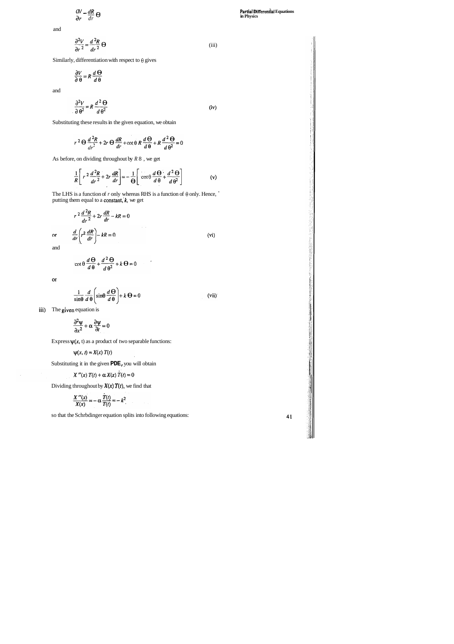$$
\frac{dV}{dr} - \frac{dR}{dr} \Theta
$$

and

and

$$
\frac{\partial^2 V}{\partial \theta^2} = R \frac{d^2 \Theta}{d\theta^2}
$$
 (iv)

Substituting these results in the given equation, we obtain

$$
r^2 \Theta \frac{d^2 R}{dr^2} + 2r \Theta \frac{dR}{dr} + \cot \theta R \frac{d \Theta}{d \Theta} + R \frac{d^2 \Theta}{d \Theta^2} = 0
$$

As before, on dividing throughout by *R* 8, we get

$$
\frac{1}{R} \left[ r^2 \frac{d^2 R}{dr^2} + 2r \frac{dR}{dr} \right] = -\frac{1}{\Theta} \left[ \cot \theta \frac{d \Theta}{d \theta} + \frac{d^2 \Theta}{d \theta^2} \right] \tag{v}
$$

The LHS is a function of  $r$  only whereas RHS is a function of  $\theta$  only. Hence, putting them equal to a constant,  $k$ , we get

$$
r^{2} \frac{d^{2}R}{dr^{2}} + 2r \frac{dR}{dr} - kR = 0
$$
  
or 
$$
\frac{d}{dr} \left(r^{2} \frac{dR}{dr}\right) - kR = 0
$$
 (vi)

$$
\frac{\partial^2 V}{\partial r^2} = \frac{d^2 R}{dr^2} \Theta
$$
 (iii)

Similarly, differentiation with respect to  $\theta$  gives

$$
\frac{\partial V}{\partial \theta} = R \frac{d \Theta}{d \theta}
$$

41

and

$$
\cot\theta \frac{d\Theta}{d\theta} + \frac{d^2\Theta}{d\theta^2} + k\Theta = 0
$$

 $\overline{\text{or}}$ 

$$
\frac{1}{\sin\theta} \frac{d}{d\theta} \left( \sin\theta \frac{d\Theta}{d\theta} \right) + k \Theta = 0
$$
 (vii)

J.

iii) The given equation is

$$
\frac{\partial^2 \psi}{\partial x^2} + \alpha \frac{\partial \psi}{\partial t} = 0
$$

Express  $\psi(x, t)$  as a product of two separable functions:

 $\psi(x, t) = X(x) T(t)$ 

Substituting it in the given **PDE,** you will obtain

$$
X''(x) T(t) + \alpha X(x) T(t) = 0
$$

Dividing throughout by  $X(x) T(t)$ , we find that

$$
\frac{X^{\prime\prime}(x)}{X(x)}=-\alpha\,\frac{T(t)}{T(t)}=-k^2
$$

so that the Schrbdinger equation splits into following equations: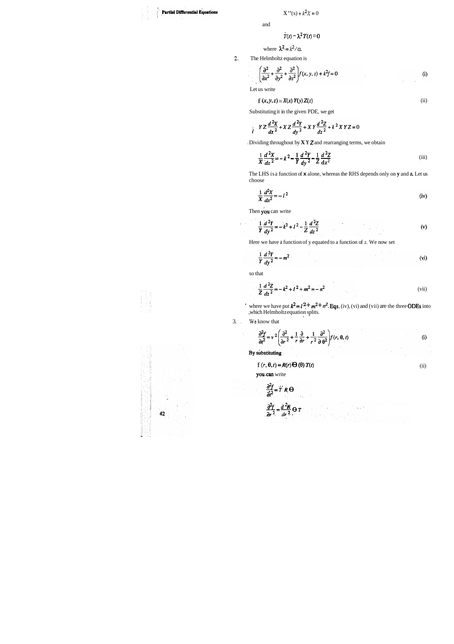### **Partial Differential Equations**

and

$$
T(t) - \lambda^2 T(t) = 0
$$

where 
$$
\lambda^2 = k^2/\alpha
$$
.

**2.** The Helmholtz equation is

$$
\left(\frac{\partial^2}{\partial x^2} + \frac{\partial^2}{\partial y^2} + \frac{\partial^2}{\partial z^2}\right) f(x, y, z) + k^2 f = 0
$$
 (i)

Let us write

$$
f(x, y, z) = X(x) Y(y) Z(z)
$$
 (ii)

Substituting it in the given PDE, we get

$$
\int_{0}^{1} YZ \frac{d^{2}X}{dx^{2}} + XZ \frac{d^{2}Y}{dy^{2}} + XY \frac{d^{2}Z}{dz^{2}} + k^{2}XYZ = 0
$$

. Dividing throughout by **X Y Z** and rearranging terms, we obtain

$$
\frac{1}{X}\frac{d^2X}{dx^2} = -k^2 - \frac{1}{Y}\frac{d^2Y}{dy^2} - \frac{1}{Z}\frac{d^2Z}{dz^2}
$$
 (iii)

where we have put  $k^2 = l^2 + m^2 + n^2$ . Eqs. (iv), (vi) and (vii) are the three ODEs into ,which Helmholtz equation splits. **I.** 

The LHS is a function of **x** alone, whereas the RHS depends only on **y** and **z.** Let us choose

$$
\frac{1}{X}\frac{d^2X}{dx^2} = -l^2\tag{iv}
$$

Then you can write

$$
\frac{1}{Y}\frac{d^2Y}{dy^2} = -k^2 + l^2 - \frac{1}{Z}\frac{d^2Z}{dz^2}
$$
 (v)

Here we have a function of y equated to a function of z. We now set

$$
\frac{1}{Y}\frac{d^2Y}{dy^2} = -m^2
$$
 (vi)

so that

$$
\frac{1}{Z}\frac{d^2Z}{dz^2} = -k^2 + l^2 + m^2 = -n^2
$$
 (vii)

3. . **We** know that

 $\mathbb{R}^{N}$ 

 $\eta_{\rm c}$  .

$$
\frac{\partial^2 f}{\partial t^2} = v^2 \left( \frac{\partial^2}{\partial r^2} + \frac{1}{r} \frac{\partial}{\partial r} + \frac{1}{r^2} \frac{\partial^2}{\partial \theta^2} \right) f(r, \theta, t)
$$
 (i)

By substituting

$$
f(r, \theta, t) = R(r) \Theta(\theta) T(t)
$$
 (ii)

you.can write

$$
\frac{\partial^2 f}{\partial t^2} = T' R \Theta
$$
  

$$
\frac{\partial^2 f}{\partial r^2} = \frac{d^2 R}{dr^2} \Theta T
$$

$$
\begin{array}{c}\n\mathbf{1} & \mathbf{1} & \mathbf{1} \\
\mathbf{1} & \mathbf{1} & \mathbf{1} \\
\mathbf{1} & \mathbf{1} & \mathbf{1} \\
\mathbf{1} & \mathbf{1} & \mathbf{1} \\
\mathbf{1} & \mathbf{1} & \mathbf{1} \\
\mathbf{1} & \mathbf{1} & \mathbf{1} \\
\mathbf{1} & \mathbf{1} & \mathbf{1} \\
\mathbf{1} & \mathbf{1} & \mathbf{1} \\
\mathbf{1} & \mathbf{1} & \mathbf{1} \\
\mathbf{1} & \mathbf{1} & \mathbf{1} \\
\mathbf{1} & \mathbf{1} & \mathbf{1} \\
\mathbf{1} & \mathbf{1} & \mathbf{1} \\
\mathbf{1} & \mathbf{1} & \mathbf{1} \\
\mathbf{1} & \mathbf{1} & \mathbf{1} \\
\mathbf{1} & \mathbf{1} & \mathbf{1} \\
\mathbf{1} & \mathbf{1} & \mathbf{1} \\
\mathbf{1} & \mathbf{1} & \mathbf{1} \\
\mathbf{1} & \mathbf{1} & \mathbf{1} \\
\mathbf{1} & \mathbf{1} & \mathbf{1} \\
\mathbf{1} & \mathbf{1} & \mathbf{1} \\
\mathbf{1} & \mathbf{1} & \mathbf{1} \\
\mathbf{1} & \mathbf{1} & \mathbf{1} \\
\mathbf{1} & \mathbf{1} & \mathbf{1} \\
\mathbf{1} & \mathbf{1} & \mathbf{1} \\
\mathbf{1} & \mathbf{1} & \mathbf{1} \\
\mathbf{1} & \mathbf{1} & \mathbf{1} \\
\mathbf{1} & \mathbf{1} & \mathbf{1} \\
\mathbf{1} & \mathbf{1} & \mathbf{1} \\
\mathbf{1} & \mathbf{1} & \mathbf{1} \\
\mathbf{1} & \mathbf{1} & \mathbf{1} \\
\mathbf{1} & \mathbf{1} & \mathbf{1} \\
\mathbf{1} & \mathbf{1} & \mathbf{1} \\
\mathbf{1} & \mathbf{1} & \mathbf{1} \\
\mathbf{1} & \mathbf{1} & \mathbf{1} \\
\mathbf{1} & \mathbf{1} & \mathbf{1} \\
\mathbf{1} & \mathbf{1} & \mathbf
$$

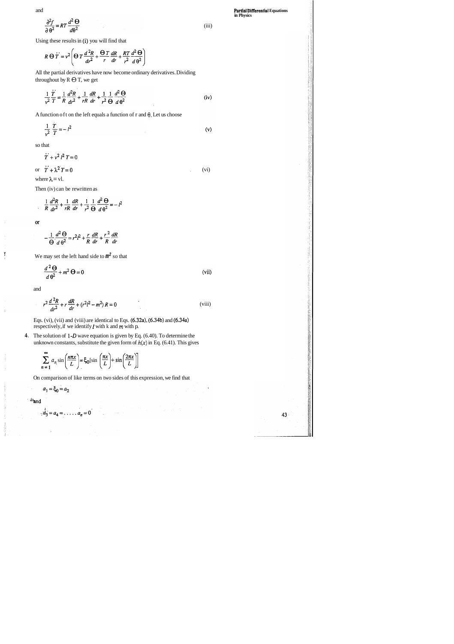and

$$
\frac{\partial^2 f}{\partial \theta^2} = RT \frac{d^2 \Theta}{d\theta^2}
$$

All the partial derivatives have now become ordinary derivatives. Dividing throughout by  $R \Theta T$ , we get

$$
\frac{1}{v^2}\frac{T}{T} = \frac{1}{R}\frac{d^2R}{dr^2} + \frac{1}{rR}\frac{dR}{dr} + \frac{1}{r^2}\frac{1}{\Theta}\frac{d^2\Theta}{d\Theta^2}
$$
 (iv)

A function of t on the left equals a function of r and  $\theta$ . Let us choose

Using these results in (i) you will find that

$$
\frac{1}{v^2} \frac{T}{T} = -l^2 \tag{v}
$$

$$
R \Theta \dot{T} = v^2 \left( \Theta \, T \, \frac{d^2 R}{dr^2} + \frac{\Theta \, T}{r} \, \frac{dR}{dr} + \frac{RT}{r^2} \frac{d^2 \Theta}{d \, \theta^2} \right)
$$

so that

 $\ddot{T}+\nu^2 l^2 T=0$ or  $\ddot{T} + \lambda^2 T = 0$ 

Eqs. (vi), (vii) and (viii) are identical to Eqs.  $(6.32a)$ ,  $(6.34b)$  and  $(6.34a)$ respectively, if we identify 1 with k and **rn** with p.

**4.** The solution of 1-D wave equation is given by Eq. (6.40). To determine the unknown constants, substitute the given form of  $h(x)$  in Eq. (6.41). This gives

where 
$$
\lambda = v
$$
.

Then (iv) can be rewritten as

$$
\frac{1}{R}\frac{d^2R}{dr^2} + \frac{1}{rR}\frac{dR}{dr} + \frac{1}{r^2}\frac{1}{\Theta}\frac{d^2\Theta}{d\theta^2} = -l^2
$$

or

 $\prod_{i=1}^{n}$ 

 $\ddot{\phantom{1}}$ 

j Â

$$
-\frac{1}{\Theta}\frac{d^2\Theta}{d\Theta^2} = r^2l^2 + \frac{r}{R}\frac{dR}{dr} + \frac{r^2}{R}\frac{dR}{dr}
$$

We may set the left hand side to  $m^2$  so that

$$
\frac{d^2\Theta}{d\theta^2} + m^2\Theta = 0
$$
 (vii)

and

(iii)

, (vi)

43

$$
\sum_{n=1}^{\infty} a_n \sin\left(\frac{n\pi x}{L}\right) = \xi_0 \left[\sin\left(\frac{\pi x}{L}\right) + \sin\left(\frac{2\pi x}{L}\right)\right]
$$

$$
r^{2} \frac{d^{2}R}{dr^{2}} + r \frac{dR}{dr} + (r^{2}l^{2} - m^{2}) R = 0
$$
 (viii)

On comparison of like terms on two sides of this expression, we find that

 $\frac{1}{2}$  ,  $\frac{1}{2}$ 

$$
a_1 = \xi_0 = a_2
$$

 $\bar{\mathcal{A}}$ 

 $\ddot{a}_3 = a_4 = \dots = a_n = 0$ 

aband

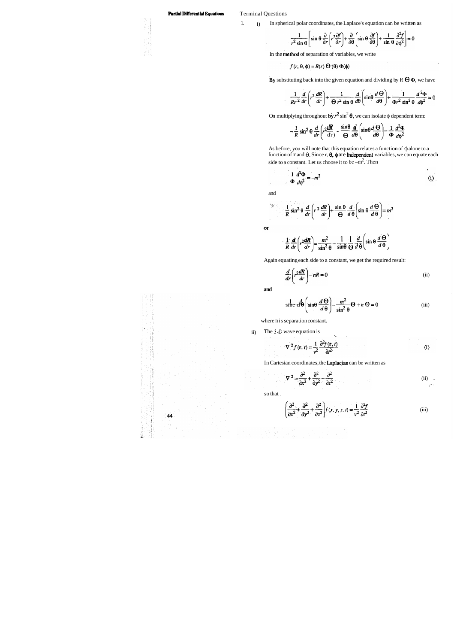### **Partial Differential Equations Terminal Questions**

 $\langle 1, \rangle$ 

1. i) In spherical polar coordinates, the Laplace's equation can be written as

$$
\frac{1}{r^2 \sin \theta} \left[ \sin \theta \frac{\partial}{\partial r} \left( r^2 \frac{\partial f}{\partial r} \right) + \frac{\partial}{\partial \theta} \left( \sin \theta \frac{\partial f}{\partial \theta} \right) + \frac{1}{\sin \theta} \frac{\partial^2 f}{\partial \phi^2} \right] = 0
$$

In the method of separation of variables, we write

$$
f(r, \theta, \phi) = R(r) \Theta(\theta) \Phi(\phi)
$$

By substituting back into the given equation and dividing by  $R \Theta \Phi$ , we have

$$
\frac{1}{Rr^2}\frac{d}{dr}\left(r^2\frac{dR}{dr}\right) + \frac{1}{\Theta r^2\sin\theta}\frac{d}{d\theta}\left(\sin\theta\frac{d\Theta}{d\theta}\right) + \frac{1}{\Phi r^2\sin^2\theta}\frac{d^2\Phi}{d\phi^2} = 0
$$

On multiplying throughout by  $r^2 \sin^2 \theta$ , we can isolate  $\phi$  dependent term:

Simplifying throughout by 
$$
r^2 \sin^2 \theta
$$
, we can isolate  $\phi$  dependent to  
\n
$$
-\frac{1}{R} \sin^2 \theta \frac{d}{dr} \left(r^2 \frac{dR}{dr}\right) - \frac{\sin \theta}{\Theta} \frac{d}{d\theta} \left(\sin \theta \frac{d \Theta}{d\theta}\right) = \frac{1}{\Phi} \frac{d^2 \Phi}{d\phi^2}
$$

As before, you will note that this equation relates a function of  $\phi$  alone to a function of r and  $\theta$ . Since r,  $\theta$ ,  $\phi$  are **independent** variables, we can equate each side to a constant. Let us choose it to be  $-m^2$ . Then

$$
\frac{1}{\Phi} \frac{d^2 \Phi}{d\phi^2} = -m^2
$$
 (i)

and

 $\alpha$ 

 $\hat{\mathcal{L}}$ 

 $\mathcal{L}_{\mathcal{A}}$ 

t,

$$
\frac{1}{R}\sin^2\theta \frac{d}{dr}\left(r^2\frac{dR}{dr}\right) + \frac{\sin\theta}{\Theta}\frac{d}{d\theta}\left(\sin\theta \frac{d\Theta}{d\theta}\right) = m^2
$$

 $\frac{1}{2} \frac{d}{dt} \left[ r^2 \frac{dR}{dt} \right] = \frac{m^2}{r^2} - \frac{1}{2} \frac{1}{r^2} \frac{d}{dt} \sin \theta \frac{d\Theta}{d\Theta}$  $R dr$ <sup> $\int dr$ </sup>  $\sin^2 \theta$   $\sin \theta \Theta d$ 

Again equating each side to a constant, we get the required result:

$$
\frac{d}{dr}\left(r^2\frac{dR}{dr}\right) - nR = 0\tag{ii}
$$

**and** 

$$
\sin^2 \theta \left( \sin \theta \frac{d\Theta}{d\theta} \right) - \frac{m^2}{\sin^2 \theta} \Theta + n \Theta = 0
$$
 (iii)

where n is separation constant.

ii) The  $3-D$  wave equation is

$$
\nabla^2 f(\mathbf{r}, t) = \frac{1}{v^2} \frac{\partial^2 f(\mathbf{r}, t)}{\partial t^2}
$$
 (i)

In Cartesian coordinates, the Laplacian can be written as

so that .

$$
\nabla^2 = \frac{\partial^2}{\partial x^2} + \frac{\partial^2}{\partial y^2} + \frac{\partial^2}{\partial z^2}
$$
 (ii)

$$
\left(\frac{\partial^2}{\partial x^2} + \frac{\partial^2}{\partial y^2} + \frac{\partial^2}{\partial z^2}\right) f(x, y, z, t) = \frac{1}{v^2} \frac{\partial^2 f}{\partial t^2}
$$
 (iii)

K.

44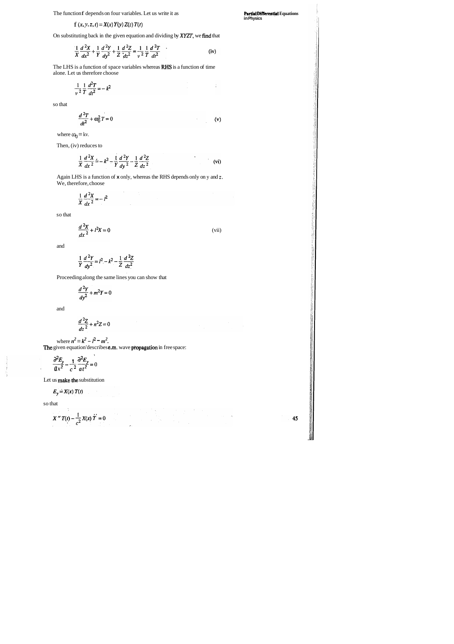The function f depends on four variables. Let us write it as

$$
f(x, y, z, t) = X(x) Y(y) Z(z) T(t)
$$

On substituting back in the given equation and dividing by XYZT, we find that

$$
\frac{1}{X}\frac{d^2X}{dx^2} + \frac{1}{Y}\frac{d^2Y}{dy^2} + \frac{1}{Z}\frac{d^2Z}{dz^2} = \frac{1}{V^2}\frac{1}{T}\frac{d^2T}{dt^2}
$$
 (iv)

The LHS is a function of space variables whereas RHS is a function of time alone. Let us therefore choose

$$
\frac{1}{v^2}\frac{1}{T}\frac{d^2T}{dt^2}=-k^2
$$

so that

$$
\frac{d^2T}{dt^2} + \omega_0^2 T = 0
$$
 (v)

where  $\omega_0 = kv$ .

Then, (iv) reduces to

$$
\frac{1}{X}\frac{d^2X}{dx^2} = -k^2 - \frac{1}{Y}\frac{d^2Y}{dy^2} - \frac{1}{Z}\frac{d^2Z}{dz^2}
$$
 (vi)

**Partial Differential Equations in Physics** 

Again LHS is a function of **x** only, whereas the RHS depends only on y and z. We, therefore, choose

$$
\frac{1}{X}\frac{d^2X}{dx^2}=-l^2
$$

so that

$$
\frac{d^2X}{dx^2} + l^2X = 0
$$
 (vii)

and

$$
\frac{1}{Y}\frac{d^2Y}{dy^2} = l^2 - k^2 - \frac{1}{Z}\frac{d^2Z}{dz^2}
$$

Proceeding along the same lines you can show that

$$
\frac{d^2Y}{dy^2} + m^2Y = 0
$$

and

$$
\frac{d^2Z}{dz^2} + n^2Z = 0
$$

where  $n^2 = k^2 - l^2 - m^2$ .

The given equation'describes **e.m.** wave propagation in free space:

 $\frac{\partial^2 E_y}{\partial z^2} - \frac{1}{2} \frac{\partial^2 E_y}{\partial z^2} = 0$  $ax^2$  *c*<sup>2</sup>  $at^2$ 

Let us **make** the substitution

$$
E_y = X(x) T(t)
$$

so that

$$
X'' T(t) - \frac{1}{c^2} X(x) \dot{T} = 0
$$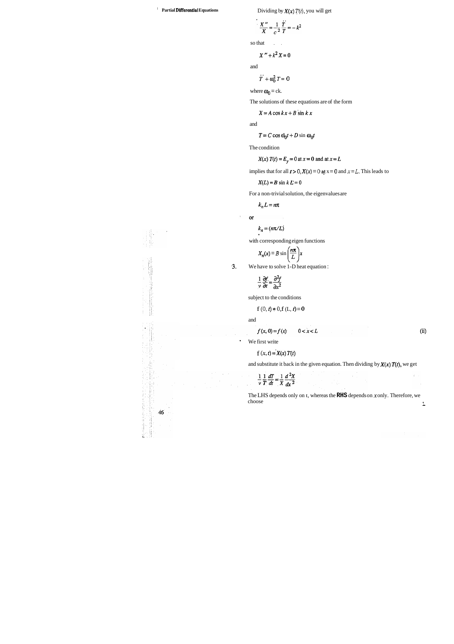**Partial Differential Equations** Dividing by  $X(x) T(t)$ , you will get

$$
\frac{X''}{X} = \frac{1}{c^2} \frac{T}{T} = -k^2
$$

so that  $\qquad$ .

$$
X'' + k^2 X = 0
$$

and

$$
T + \omega_0^2 T = 0
$$

where  $\omega_0 = c k$ .

The solutions of these equations are of the form

$$
X = A\cos kx + B\sin kx
$$

and

$$
T = C \cos \omega_0 t + D \sin \omega_0 t
$$

The condition

$$
X(x) T(t) = E_y = 0 \text{ at } x = 0 \text{ and at } x = L
$$

implies that for all  $t > 0$ ,  $X(x) = 0$  at  $x = 0$  and  $x = L$ . This leads to

 $X(L)=B\sin k L=0$ 

For a non-trivial solution, the eigenvalues are

 $k_n L=n\pi$ 

$$
\quad \text{or} \quad
$$

 $k_n = (n\pi/L)$ 

with corresponding eigen functions

$$
X_n(x) = B \sin\left(\frac{n\pi}{L}\right)x
$$

**.3.** We have to solve 1-D heat equation :

$$
\frac{1}{v}\frac{\partial f}{\partial t} = \frac{\partial^2 f}{\partial x^2}
$$

ú.

subject to the conditions

$$
f(0,t)=0, f(L,t)=0
$$

and

$$
f(x, 0) = f(x) \qquad 0 < x < L
$$

We first write

$$
f(x, t) = X(x) T(t)
$$

and substitute it back in the given equation. Then dividing by  $X(x)$   $T(t)$ , we get

$$
\frac{1}{v}\frac{1}{T}\frac{dT}{dt} = \frac{1}{X}\frac{d^2X}{dx^2}
$$

The LHS depends only on **t**, whereas the **RHS** depends on *x* only. Therefore, we choose choose in the choose in the choice is a set of the choice of the choice in the choice is a set of the choice of the choice of the choice of the choice of the choice of the choice of the choice of the choice of the choice o

(2) 经国家的财产  $46$ Ì